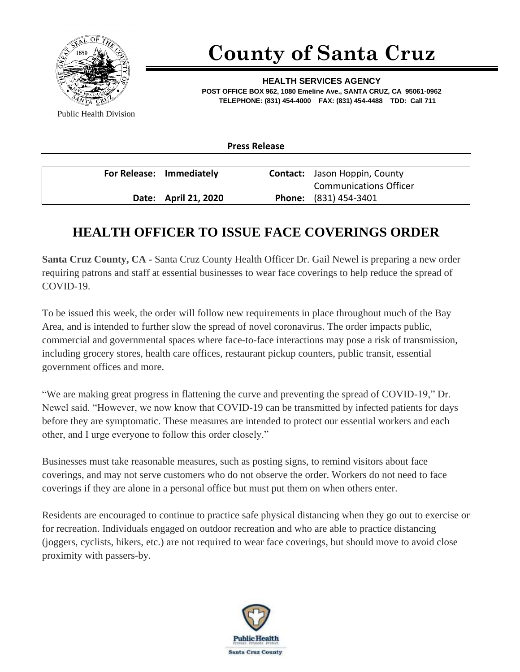

## **County of Santa Cruz**

**HEALTH SERVICES AGENCY POST OFFICE BOX 962, 1080 Emeline Ave., SANTA CRUZ, CA 95061-0962 TELEPHONE: (831) 454-4000 FAX: (831) 454-4488 TDD: Call 711**

Public Health Division

**Press Release**

| For Release: Immediately |                      | <b>Contact:</b> Jason Hoppin, County |
|--------------------------|----------------------|--------------------------------------|
|                          |                      | <b>Communications Officer</b>        |
|                          | Date: April 21, 2020 | <b>Phone:</b> (831) 454-3401         |

## **HEALTH OFFICER TO ISSUE FACE COVERINGS ORDER**

**Santa Cruz County, CA -** Santa Cruz County Health Officer Dr. Gail Newel is preparing a new order requiring patrons and staff at essential businesses to wear face coverings to help reduce the spread of COVID-19.

To be issued this week, the order will follow new requirements in place throughout much of the Bay Area, and is intended to further slow the spread of novel coronavirus. The order impacts public, commercial and governmental spaces where face-to-face interactions may pose a risk of transmission, including grocery stores, health care offices, restaurant pickup counters, public transit, essential government offices and more.

"We are making great progress in flattening the curve and preventing the spread of COVID-19," Dr. Newel said. "However, we now know that COVID-19 can be transmitted by infected patients for days before they are symptomatic. These measures are intended to protect our essential workers and each other, and I urge everyone to follow this order closely."

Businesses must take reasonable measures, such as posting signs, to remind visitors about face coverings, and may not serve customers who do not observe the order. Workers do not need to face coverings if they are alone in a personal office but must put them on when others enter.

Residents are encouraged to continue to practice safe physical distancing when they go out to exercise or for recreation. Individuals engaged on outdoor recreation and who are able to practice distancing (joggers, cyclists, hikers, etc.) are not required to wear face coverings, but should move to avoid close proximity with passers-by.